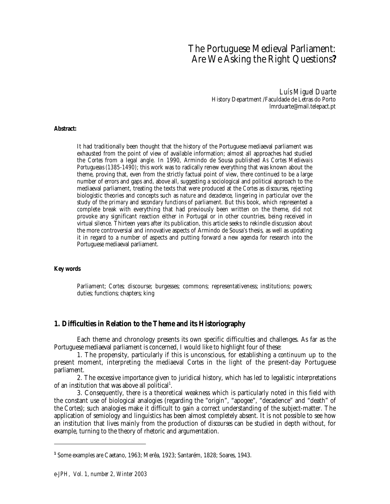# The Portuguese Medieval Parliament: Are We Asking the Right Questions**?**

*Luís Miguel Duarte* History Department /Faculdade de Letras do Porto lmrduarte@mail.telepact.pt

#### **Abstract:**

It had traditionally been thought that the history of the Portuguese mediaeval parliament was exhausted from the point of view of available information; almost all approaches had studied the *Cortes* from a legal angle. In 1990, Armindo de Sousa published *As Cortes Medievais Portuguesas (1385-1490)*; this work was to radically renew everything that was known about the theme, proving that, even from the strictly factual point of view, there continued to be a large number of errors and gaps and, above all, suggesting a sociological and political approach to the mediaeval parliament, treating the texts that were produced at the *Cortes* as *discourses*, rejecting biologistic theories and concepts such as *nature* and *decadence*, lingering in particular over the study of the *primary* and *secondary functions* of parliament. But this book, which represented a complete break with everything that had previously been written on the theme, did not provoke any significant reaction either in Portugal or in other countries, being received in virtual silence. Thirteen years after its publication, this article seeks to rekindle discussion about the more controversial and innovative aspects of Armindo de Sousa's thesis, as well as updating it in regard to a number of aspects and putting forward a new agenda for research into the Portuguese mediaeval parliament.

#### **Key words**

1

Parliament; *Cortes*; discourse; burgesses; commons; representativeness; institutions; powers; duties; functions; chapters; king

#### **1. Difficulties in Relation to the Theme and its Historiography**

Each theme and chronology presents its own specific difficulties and challenges. As far as the Portuguese mediaeval parliament is concerned, I would like to highlight four of these:

1. The propensity, particularly if this is unconscious, for establishing a *continuum* up to the present moment, interpreting the mediaeval *Cortes* in the light of the present-day Portuguese parliament.

2. The excessive importance given to juridical history, which has led to legalistic interpretations of an institution that was above all political<sup>1</sup>.

3. Consequently, there is a theoretical weakness which is particularly noted in this field with the constant use of biological analogies (regarding the "origin", "apogee", "decadence" and "death" of the *Cortes*); such analogies make it difficult to gain a correct understanding of the subject-matter. The application of semiology and linguistics has been almost completely absent. It is not possible to see how an institution that lives mainly from the production of *discourses* can be studied in depth without, for example, turning to the theory of rhetoric and argumentation.

**<sup>1</sup>** Some examples are Caetano, 1963; Merêa, 1923; Santarém, 1828; Soares, 1943.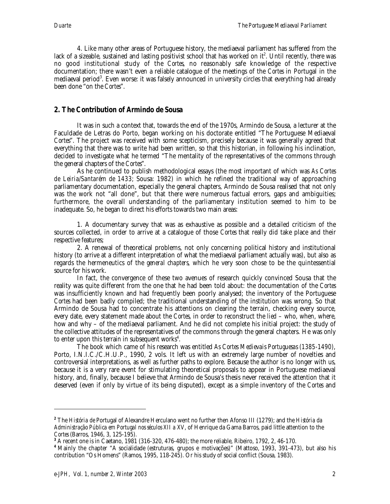4. Like many other areas of Portuguese history, the mediaeval parliament has suffered from the lack of a sizeable, sustained and lasting positivist school that has worked on it $^{\rm 2}$ . Until recently, there was no good institutional study of the *Cortes*, no reasonably safe knowledge of the respective documentation; there wasn't even a reliable catalogue of the meetings of the *Cortes* in Portugal in the mediaeval period $^3$ . Even worse: it was falsely announced in university circles that everything had already been done "on the *Cortes*".

# **2. The Contribution of Armindo de Sousa**

It was in such a context that, towards the end of the 1970s, Armindo de Sousa, a lecturer at the Faculdade de Letras do Porto, began working on his doctorate entitled "The Portuguese Mediaeval *Cortes*". The project was received with some scepticism, precisely because it was generally agreed that everything that there was to write had been written, so that this historian, in following his inclination, decided to investigate what he termed "The mentality of the representatives of the commons through the general chapters of the *Cortes*".

As he continued to publish methodological essays (the most important of which was *As Cortes de Leiria/Santarém de 1433;* Sousa: 1982) in which he refined the traditional way of approaching parliamentary documentation, especially the general chapters, Armindo de Sousa realised that not only was the work not "all done", but that there were numerous factual errors, gaps and ambiguities; furthermore, the overall understanding of the parliamentary institution seemed to him to be inadequate. So, he began to direct his efforts towards two main areas:

1. A documentary survey that was as exhaustive as possible and a detailed criticism of the sources collected, in order to arrive at a catalogue of those *Cortes* that really did take place and their respective features;

2. A renewal of theoretical problems, not only concerning political history and institutional history (to arrive at a different interpretation of what the mediaeval parliament actually was), but also as regards the hermeneutics of the *general chapters*, which he very soon chose to be the quintessential source for his work.

In fact, the convergence of these two avenues of research quickly convinced Sousa that the reality was quite different from the one that he had been told about: the documentation of the *Cortes* was insufficiently known and had frequently been poorly analysed; the inventory of the Portuguese *Cortes* had been badly compiled; the traditional understanding of the institution was wrong. So that Armindo de Sousa had to concentrate his attentions on clearing the terrain, checking every source, every date, every statement made about the *Cortes*, in order to reconstruct the *lied* – who, when, where, how and why – of the mediaeval parliament. And he did not complete his initial project: the study of the collective attitudes of the representatives of the commons through the general chapters. He was only to enter upon this terrain in subsequent works $4$ .

The book which came of his research was entitled *As Cortes Medievais Portuguesas (1385-1490)*, Porto, I.N.I.C./C.H.U.P., 1990, 2 vols. It left us with an extremely large number of novelties and controversial interpretations, as well as further paths to explore. Because the author is no longer with us, because it is a very rare event for stimulating theoretical proposals to appear in Portuguese mediaeval history, and, finally, because I believe that Armindo de Sousa's thesis never received the attention that it deserved (even if only by virtue of its being disputed), except as a simple inventory of the *Cortes* and

1

**<sup>2</sup>** The *História de* Portugal of Alexandre Herculano went no further then Afonso III (1279); and the *História da Administração Pública em Portugal nos séculos XII a XV*, of Henrique da Gama Barros, paid little attention to the

<sup>&</sup>lt;sup>3</sup> A recent one is in Caetano, 1981 (316-320, 476-480); the more reliable, Ribeiro, 1792, 2, 46-170.

**<sup>4</sup>** Mainly the chapter "A socialidade (estruturas, grupos e motivações)" (Mattoso, 1993, 391-473), but also his contribution "Os Homens" (Ramos, 1995, 118-245). Or his study of social conflict (Sousa, 1983).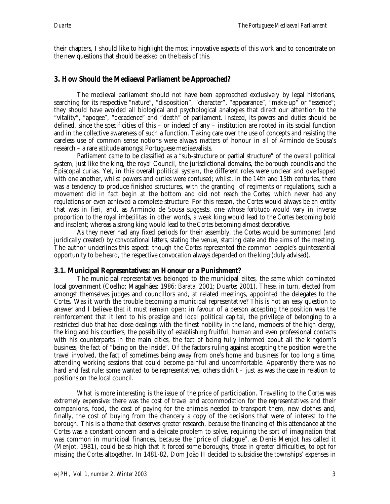their chapters, I should like to highlight the most innovative aspects of this work and to concentrate on the new questions that should be asked on the basis of this.

# **3. How Should the Mediaeval Parliament be Approached?**

The medieval parliament should not have been approached exclusively by legal historians, searching for its respective "nature", "disposition", "character", "appearance", "make-up" or "essence"; they should have avoided all biological and psychological analogies that direct our attention to the "vitality", "apogee", "decadence" and "death" of parliament. Instead, its *powers* and *duties* should be defined, since the specificities of this – or indeed of any – institution are rooted in its social function and in the collective awareness of such a function. Taking care over the use of concepts and resisting the careless use of common sense notions were always matters of honour in all of Armindo de Sousa's research – a rare attitude amongst Portuguese mediaevalists.

Parliament came to be classified as a "sub-structure or partial structure" of the overall political system, just like the king, the royal Council, the jurisdictional domains, the borough councils and the Episcopal curias. Yet, in this overall political system, the different roles were unclear and overlapped with one another, whilst powers and duties were confused; whilst, in the 14th and 15th centuries, there was a tendency to produce finished structures, with the granting of regiments or regulations, such a movement did in fact begin at the bottom and did not reach the *Cortes*, which never had any regulations or even achieved a complete structure. For this reason, the *Cortes* would always be an entity that was *in fieri*, and, as Armindo de Sousa suggests, one whose *fortitudo* would vary in inverse proportion to the royal *imbecilitas*: in other words, a weak king would lead to the *Cortes* becoming bold and insolent; whereas a strong king would lead to the *Cortes* becoming almost decorative.

As they never had any fixed periods for their assembly, the *Cortes* would be summoned (and juridically created) by *convocational letters*, stating the venue, starting date and the aims of the meeting. The author underlines this aspect: though the *Cortes* represented the common people's quintessential opportunity to be heard, the respective convocation always depended on the king (duly advised).

### **3.1. Municipal Representatives: an Honour or a Punishment?**

The municipal representatives belonged to the municipal elites, the same which dominated local government (Coelho; Magalhães: 1986; Barata, 2001; Duarte: 2001). These, in turn, elected from amongst themselves judges and councillors and, at related meetings, appointed the delegates to the *Cortes*. Was it worth the trouble becoming a municipal representative? This is not an easy question to answer and I believe that it must remain open: in favour of a person accepting the position was the reinforcement that it lent to his prestige and local political capital, the privilege of belonging to a restricted club that had close dealings with the finest nobility in the land, members of the high clergy, the king and his courtiers, the possibility of establishing fruitful, human and even professional contacts with his counterparts in the main cities, the fact of being fully informed about all the kingdom's business, the fact of "being on the inside". Of the factors ruling against accepting the position were the travel involved, the fact of sometimes being away from one's home and business for too long a time, attending working sessions that could become painful and uncomfortable. Apparently there was no hard and fast rule: some wanted to be representatives, others didn't – just as was the case in relation to positions on the local council.

What is more interesting is the issue of the price of participation. Travelling to the *Cortes* was extremely expensive: there was the cost of travel and accommodation for the representatives and their companions, food, the cost of paying for the animals needed to transport them, new clothes and, finally, the cost of buying from the chancery a copy of the decisions that were of interest to the borough. This is a theme that deserves greater research, because the financing of this attendance at the *Cortes* was a constant concern and a delicate problem to solve, requiring the sort of imagination that was common in municipal finances, because the "price of dialogue", as Denis Menjot has called it (Menjot, 1981), could be so high that it forced some boroughs, those in greater difficulties, to opt for missing the *Cortes* altogether. In 1481-82, Dom João II decided to subsidise the townships' expenses in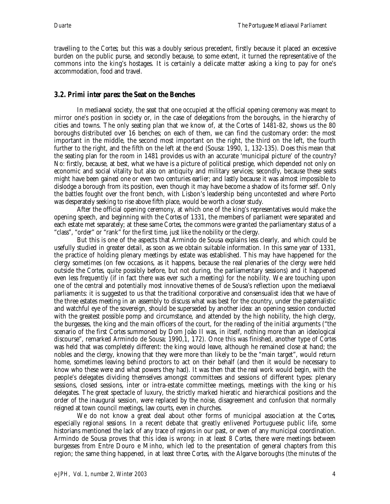travelling to the *Cortes*; but this was a doubly serious precedent, firstly because it placed an excessive burden on the public purse, and secondly because, to some extent, it turned the representative of the commons into the king's hostages. It is certainly a delicate matter asking a king to pay for one's accommodation, food and travel.

# **3.2.** *Primi inter pares***: the Seat on the Benches**

In mediaeval society, the seat that one occupied at the official opening ceremony was meant to mirror one's position in society or, in the case of delegations from the boroughs, in the hierarchy of cities and towns. The only seating plan that we know of, at the *Cortes* of 1481-82, shows us the 80 boroughs distributed over 16 benches; on each of them, we can find the customary order: the most important in the middle, the second most important on the right, the third on the left, the fourth further to the right, and the fifth on the left at the end (Sousa: 1990, 1, 132-135). Does this mean that the seating plan for the room in 1481 provides us with an accurate 'municipal picture' of the country? No: firstly, because, at best, what we have is a picture of political prestige, which depended not only on economic and social vitality but also on antiquity and military services; secondly, because these seats might have been gained one or even two centuries earlier; and lastly because it was almost impossible to dislodge a borough from its position, even though it may have become a shadow of its former self. Only the battles fought over the front bench, with Lisbon's leadership being uncontested and where Porto was desperately seeking to rise above fifth place, would be worth a closer study.

After the official opening ceremony, at which one of the king's representatives would make the opening speech, and beginning with the *Cortes* of 1331, the members of parliament were separated and each estate met separately; at these same *Cortes*, the commons were granted the parliamentary status of a "class", "order" or "rank" for the first time, just like the nobility or the clergy.

But this is one of the aspects that Armindo de Sousa explains less clearly, and which could be usefully studied in greater detail, as soon as we obtain suitable information. In this same year of 1331, the practice of holding plenary meetings by estate was established. This may have happened for the clergy sometimes (on few occasions, as it happens, because the real plenaries of the clergy were held outside the *Cortes*, quite possibly before, but not during, the parliamentary sessions) and it happened even less frequently (if in fact there was ever such a meeting) for the nobility. We are touching upon one of the central and potentially most innovative themes of de Sousa's reflection upon the mediaeval parliaments: it is suggested to us that the traditional corporative and consensualist idea that we have of the three estates meeting in an assembly to discuss what was best for the country, under the paternalistic and watchful eye of the sovereign, should be superseded by another idea: an opening session conducted with the greatest possible pomp and circumstance, and attended by the high nobility, the high clergy, the burgesses, the king and the main officers of the court, for the reading of the initial arguments ("the scenario of the first *Cortes* summoned by Dom João II was, in itself, nothing more than an ideological discourse", remarked Armindo de Sousa; 1990,1, 172). Once this was finished, another type of *Cortes* was held that was completely different: the king would leave, although he remained close at hand; the nobles and the clergy, knowing that they were more than likely to be the "main target", would return home, sometimes leaving behind proctors to act on their behalf (and then it would be necessary to know who these were and what powers they had). It was then that the real work would begin, with the people's delegates dividing themselves amongst committees and sessions of different types: plenary sessions, closed sessions, inter or intra-estate committee meetings, meetings with the king or his delegates. The great spectacle of luxury, the strictly marked hieratic and hierarchical positions and the order of the inaugural session, were replaced by the noise, disagreement and confusion that normally reigned at town council meetings, law courts, even in churches.

We do not know a great deal about other forms of municipal association at the *Cortes*, especially *regional sessions*. In a recent debate that greatly enlivened Portuguese public life, some historians mentioned the lack of any trace of *regions* in our past, or even of any municipal coordination. Armindo de Sousa proves that this idea is wrong: in at least 8 *Cortes*, there were meetings between burgesses from Entre Douro e Minho, which led to the presentation of general chapters from this region; the same thing happened, in at least three *Cortes*, with the Algarve boroughs (the *minutes of the*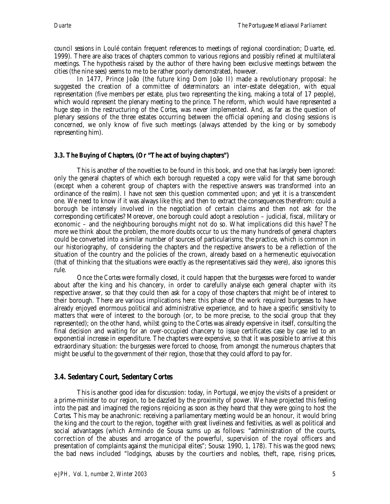*council sessions* in Loulé contain frequent references to meetings of regional coordination; Duarte, ed. 1999). There are also traces of chapters common to various regions and possibly refined at multilateral meetings. The hypothesis raised by the author of there having been exclusive meetings between the cities (the nine sees) seems to me to be rather poorly demonstrated, however.

In 1477, Prince João (the future king Dom João II) made a revolutionary proposal: he suggested the creation of a *committee of determinators*: an inter-estate delegation, with equal representation (five members per estate, plus two representing the king, making a total of 17 people), which would represent the plenary meeting to the prince. The reform, which would have represented a huge step in the restructuring of the *Cortes*, was never implemented. And, as far as the question of plenary sessions of the three estates occurring between the official opening and closing sessions is concerned, we only know of five such meetings (always attended by the king or by somebody representing him).

# **3.3. The Buying of Chapters, (Or "The act of buying chapters")**

This is another of the novelties to be found in this book, and one that has largely been ignored: only the general chapters of which each borough requested a copy were valid for that same borough (except when a coherent group of chapters with the respective answers was transformed into an ordinance of the realm). I have not seen this question commented upon; and yet it is a transcendent one. We need to know if it was always like this; and then to extract the consequences therefrom: could a borough be intensely involved in the negotiation of certain claims and then not ask for the corresponding certificates? Moreover, one borough could adopt a resolution – judicial, fiscal, military or economic – and the neighbouring boroughs might not do so. What implications did this have? The more we think about the problem, the more doubts occur to us: the many hundreds of general chapters could be converted into a similar number of sources of particularisms; the practice, which is common in our historiography, of considering the chapters and the respective answers to be a reflection of the situation of the country and the policies of the crown, already based on a hermeneutic equivocation (that of thinking that the situations were exactly as the representatives said they were), also ignores this rule.

Once the *Cortes* were formally closed, it could happen that the burgesses were forced to wander about after the king and his chancery, in order to carefully analyse each general chapter with its respective answer, so that they could then ask for a copy of those chapters that might be of interest to their borough. There are various implications here: this phase of the work required burgesses to have already enjoyed enormous political and administrative experience, and to have a specific sensitivity to matters that were of interest to the borough (or, to be more precise, to the social group that they represented); on the other hand, whilst going to the *Cortes* was already expensive in itself, consulting the final decision and waiting for an over-occupied chancery to issue certificates case by case led to an exponential increase in expenditure. The chapters were expensive, so that it was possible to arrive at this extraordinary situation: the burgesses were forced to choose, from amongst the numerous chapters that might be useful to the government of their region, those that they could afford to pay for.

# **3.4. Sedentary Court, Sedentary** *Cortes*

This is another good idea for discussion: today, in Portugal, we enjoy the visits of a president or a prime-minister to our region, to be dazzled by the proximity of power. We have projected this feeling into the past and imagined the regions rejoicing as soon as they heard that they were going to host the *Cortes*. This may be anachronic: receiving a parliamentary meeting would be an honour, it would bring the king and the court to the region, together with great liveliness and festivities, as well as political and social advantages (which Armindo de Sousa sums up as follows: "administration of the courts, correction of the abuses and arrogance of the powerful, supervision of the royal officers and presentation of complaints against the municipal elites"; Sousa: 1990, 1, 178). This was the good news; the bad news included "lodgings, abuses by the courtiers and nobles, theft, rape, rising prices,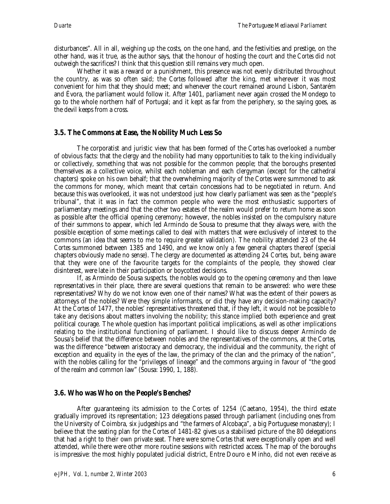disturbances". All in all, weighing up the costs, on the one hand, and the festivities and prestige, on the other hand, was it true, as the author says, that the honour of hosting the court and the *Cortes* did not outweigh the sacrifices? I think that this question still remains very much open.

Whether it was a reward or a punishment, this presence was not evenly distributed throughout the country, as was so often said; the *Cortes* followed after the king, met wherever it was most convenient for him that they should meet; and whenever the court remained around Lisbon, Santarém and Évora, the parliament would follow it. After 1401, parliament never again crossed the Mondego to go to the whole northern half of Portugal; and it kept as far from the periphery, so the saying goes, as the devil keeps from a cross.

# **3.5. The Commons at Ease, the Nobility Much Less So**

The corporatist and juristic view that has been formed of the *Cortes* has overlooked a number of obvious facts: that the clergy and the nobility had many opportunities to talk to the king individually or collectively, something that was not possible for the common people; that the boroughs presented themselves as a collective voice, whilst each nobleman and each clergyman (except for the cathedral chapters) spoke on his own behalf; that the overwhelming majority of the *Cortes* were summoned to ask the commons for money, which meant that certain concessions had to be negotiated in return. And because this was overlooked, it was not understood just how clearly parliament was seen as the "people's tribunal", that it was in fact the common people who were the most enthusiastic supporters of parliamentary meetings and that the other two estates of the realm would prefer to return home as soon as possible after the official opening ceremony; however, the nobles insisted on the compulsory nature of their summons to appear, which led Armindo de Sousa to presume that they always were, with the possible exception of some meetings called to deal with matters that were exclusively of interest to the commons (an idea that seems to me to require greater validation). The nobility attended 23 of the 44 *Cortes* summoned between 1385 and 1490, and we know only a few general chapters thereof (special chapters obviously made no sense). The clergy are documented as attending 24 *Cortes*, but, being aware that they were one of the favourite targets for the complaints of the people, they showed clear disinterest, were late in their participation or boycotted decisions.

If, as Armindo de Sousa suspects, the nobles would go to the opening ceremony and then leave representatives in their place, there are several questions that remain to be answered: who were these representatives? Why do we not know even one of their names? What was the extent of their powers as attorneys of the nobles? Were they simple informants, or did they have any decision-making capacity? At the *Cortes* of 1477, the nobles' representatives threatened that, if they left, it would not be possible to take any decisions about matters involving the nobility; this stance implied both experience and great political courage. The whole question has important political implications, as well as other implications relating to the institutional functioning of parliament. I should like to discuss deeper Armindo de Sousa's belief that the difference between nobles and the representatives of the commons, at the *Cortes*, was the difference "between aristocracy and democracy, the individual and the community, the right of exception and equality in the eyes of the law, the primacy of the clan and the primacy of the nation", with the nobles calling for the "privileges of lineage" and the commons arguing in favour of "the good of the realm and common law" (Sousa: 1990, 1, 188).

### **3.6. Who was Who on the People's Benches?**

After guaranteeing its admission to the *Cortes* of 1254 (Caetano, 1954), the third estate gradually improved its representation; 123 delegations passed through parliament (including ones from the University of Coimbra, six judgeships and "the farmers of Alcobaça", a big Portuguese monastery); I believe that the seating plan for the *Cortes* of 1481-82 gives us a stabilised picture of the 80 delegations that had a right to their own private seat. There were some *Cortes* that were exceptionally open and well attended, while there were other more routine sessions with restricted access. The map of the boroughs is impressive: the most highly populated judicial district, Entre Douro e Minho, did not even receive as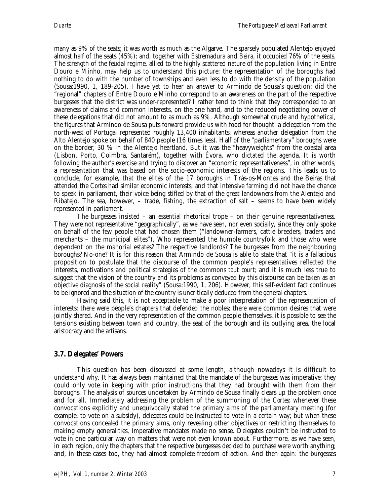many as 9% of the seats; it was worth as much as the Algarve. The sparsely populated Alentejo enjoyed almost half of the seats (45%); and, together with Estremadura and Beira, it occupied 76% of the seats. The strength of the feudal regime, allied to the highly scattered nature of the population living in Entre Douro e Minho, may help us to understand this picture: the representation of the boroughs had nothing to do with the number of townships and even less to do with the density of the population (Sousa:1990, 1, 189-205). I have yet to hear an answer to Armindo de Sousa's question: did the "regional" chapters of Entre Douro e Minho correspond to an awareness on the part of the respective burgesses that the district was under-represented? I rather tend to think that they corresponded to an awareness of claims and common interests, on the one hand, and to the reduced negotiating power of these delegations that did not amount to as much as 9%. Although somewhat crude and hypothetical, the figures that Armindo de Sousa puts forward provide us with food for thought: a delegation from the north-west of Portugal represented roughly 13,400 inhabitants, whereas another delegation from the Alto Alentejo spoke on behalf of 840 people (16 times less). Half of the "parliamentary" boroughs were on the border; 30 % in the Alentejo heartland. But it was the "heavyweights" from the coastal area (Lisbon, Porto, Coimbra, Santarém), together with Évora, who dictated the agenda. It is worth following the author's exercise and trying to discover an "economic representativeness", in other words, a representation that was based on the socio-economic interests of the regions. This leads us to conclude, for example, that the elites of the 17 boroughs in Trás-os-Montes and the Beiras that attended the *Cortes* had similar economic interests; and that intensive farming did not have the chance to speak in parliament, their voice being stifled by that of the great landowners from the Alentejo and Ribatejo. The sea, however, – trade, fishing, the extraction of salt – seems to have been widely represented in parliament.

The burgesses insisted – an essential rhetorical trope – on their genuine representativeness. They were not representative "geographically", as we have seen, nor even socially, since they only spoke on behalf of the few people that had chosen them ("landowner-farmers, cattle breeders, traders and merchants – the municipal elites"). Who represented the humble countryfolk and those who were dependent on the manorial estates? The respective landlords? The burgesses from the neighbouring boroughs? No-one? It is for this reason that Armindo de Sousa is able to state that "it is a fallacious proposition to postulate that the discourse of the common people's representatives reflected the interests, motivations and political strategies of the commons *tout court*; and it is much less true to suggest that the vision of the country and its problems as conveyed by this discourse can be taken as an objective diagnosis of the social reality" (Sousa:1990, 1, 206). However, this self-evident fact continues to be ignored and the situation of the country is uncritically deduced from the general chapters.

Having said this, it is not acceptable to make a poor interpretation of the representation of interests: there were people's chapters that defended the nobles; there were common desires that were jointly shared. And in the very representation of the common people themselves, it is possible to see the tensions existing between town and country, the seat of the borough and its outlying area, the local aristocracy and the artisans.

# **3.7. Delegates' Powers**

This question has been discussed at some length, although nowadays it is difficult to understand why. It has always been maintained that the mandate of the burgesses was imperative; they could only vote in keeping with prior instructions that they had brought with them from their boroughs. The analysis of sources undertaken by Armindo de Sousa finally clears up the problem once and for all. Immediately addressing the problem of the summoning of the *Cortes*: whenever these convocations explicitly and unequivocally stated the primary aims of the parliamentary meeting (for example, to vote on a subsidy), delegates could be instructed to vote in a certain way; but when these convocations concealed the primary aims, only revealing other objectives or restricting themselves to making empty generalities, imperative mandates made no sense. Delegates couldn't be instructed to vote in one particular way on matters that were not even known about. Furthermore, as we have seen, in each region, only the chapters that the respective burgesses decided to purchase were worth anything; and, in these cases too, they had almost complete freedom of action. And then again: the burgesses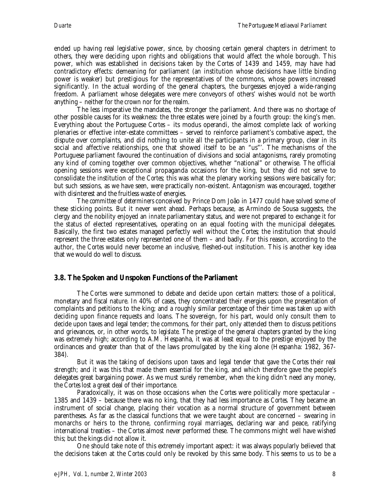ended up having real legislative power, since, by choosing certain general chapters in detriment to others, they were deciding upon rights and obligations that would affect the whole borough. This power, which was established in decisions taken by the *Cortes* of 1439 and 1459, may have had contradictory effects: demeaning for parliament (an institution whose decisions have little binding power is weaker) but prestigious for the representatives of the commons, whose powers increased significantly. In the actual wording of the general chapters, the burgesses enjoyed a wide-ranging freedom. A parliament whose delegates were mere conveyors of others' wishes would not be worth anything – neither for the crown nor for the realm.

The less imperative the mandates, the stronger the parliament. And there was no shortage of other possible causes for its weakness: the three estates were joined by a fourth group: the king's men. Everything about the Portuguese *Cortes* – its modus operandi, the almost complete lack of working plenaries or effective inter-estate committees – served to reinforce parliament's combative aspect, the dispute over complaints, and did nothing to unite all the participants in a primary group, clear in its social and affective relationships, one that showed itself to be an "us"'. The mechanisms of the Portuguese parliament favoured the continuation of divisions and social antagonisms, rarely promoting any kind of coming together over common objectives, whether "national" or otherwise. The official opening sessions were exceptional propaganda occasions for the king, but they did not serve to consolidate the institution of the *Cortes*; this was what the plenary working sessions were basically for; but such sessions, as we have seen, were practically non-existent. Antagonism was encouraged, together with disinterest and the fruitless waste of energies.

The *committee of determiners* conceived by Prince Dom João in 1477 could have solved some of these sticking points. But it never went ahead. Perhaps because, as Armindo de Sousa suggests, the clergy and the nobility enjoyed an *innate* parliamentary status, and were not prepared to exchange it for the status of elected representatives, operating on an equal footing with the municipal delegates. Basically, the first two estates managed perfectly well without the *Cortes*; the institution that should represent the three estates only represented one of them – and badly. For this reason, according to the author, the *Cortes* would never become an inclusive, fleshed-out institution. This is another key idea that we would do well to discuss.

### **3.8. The Spoken and Unspoken Functions of the Parliament**

The *Cortes* were summoned to debate and decide upon certain matters: those of a political, monetary and fiscal nature. In 40% of cases, they concentrated their energies upon the presentation of complaints and petitions to the king; and a roughly similar percentage of their time was taken up with deciding upon finance requests and loans. The sovereign, for his part, would only consult them to decide upon taxes and legal tender; the commons, for their part, only attended them to discuss petitions and grievances, or, in other words, to *legislate*. The prestige of the general chapters granted by the king was extremely high; according to A.M. Hespanha, it was at least equal to the prestige enjoyed by the ordinances and greater than that of the laws promulgated by the king alone (Hespanha: 1982, 367- 384).

But it was the taking of decisions upon taxes and legal tender that gave the *Cortes* their real strength; and it was this that made them essential for the king, and which therefore gave the people's delegates great bargaining power. As we must surely remember, when the king didn't need any money, the *Cortes* lost a great deal of their importance.

Paradoxically, it was on those occasions when the *Cortes* were politically more spectacular – 1385 and 1439 – because there was no king, that they had less importance as *Cortes*. They became an instrument of social change, placing their vocation as a normal structure of government between parentheses. As far as the classical functions that we were taught about are concerned – swearing in monarchs or heirs to the throne, confirming royal marriages, declaring war and peace, ratifying international treaties – the *Cortes* almost never performed these. The commons might well have wished this; but the kings did not allow it.

One should take note of this extremely important aspect: it was always popularly believed that the decisions taken at the *Cortes* could only be revoked by this same body. This seems to us to be a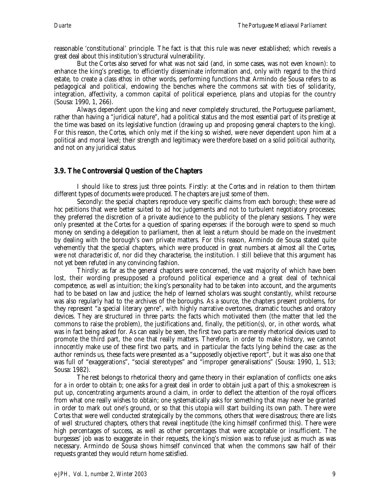reasonable 'constitutional' principle. The fact is that this rule was never established; which reveals a great deal about this institution's structural vulnerability.

But the *Cortes* also served for what was not said (and, in some cases, was not even known): to enhance the king's prestige, to efficiently disseminate information and, only with regard to the third estate, to create a class *ethos*: in other words, performing functions that Armindo de Sousa refers to as pedagogical and political, endowing the benches where the commons sat with ties of solidarity, integration, affectivity, a common capital of political experience, plans and utopias for the country (Sousa: 1990, 1, 266).

Always dependent upon the king and never completely structured, the Portuguese parliament, rather than having a "juridical nature", had a political status and the most essential part of its prestige at the time was based on its legislative function (drawing up and proposing general chapters to the king). For this reason, the *Cortes*, which only met if the king so wished, were never dependent upon him at a political and moral level; their strength and legitimacy were therefore based on a solid *political authority*, and not on any juridical status.

# **3.9. The Controversial Question of the Chapters**

I should like to stress just three points. Firstly: at the *Cortes* and in relation to them *thirteen* different types of documents were produced. The chapters are just some of them.

Secondly: the special chapters reproduce very specific claims from each borough; these were *ad hoc* petitions that were better suited to *ad hoc* judgements and not to turbulent negotiatory processes; they preferred the discretion of a private audience to the publicity of the plenary sessions. They were only presented at the *Cortes* for a question of sparing expenses: if the borough were to spend so much money on sending a delegation to parliament, then at least a return should be made on the investment by dealing with the borough's own private matters. For this reason, Armindo de Sousa stated quite vehemently that the special chapters, which were produced in great numbers at almost all the *Cortes*, *were not characteristic of*, nor did they characterise, the institution. I still believe that this argument has not yet been refuted in any convincing fashion.

Thirdly: as far as the general chapters were concerned, the vast majority of which have been lost, their wording presupposed a profound political experience and a great deal of technical competence, as well as intuition; the king's personality had to be taken into account, and the arguments had to be based on law and justice; the help of learned scholars was sought constantly, whilst recourse was also regularly had to the archives of the boroughs. As a source, the chapters present problems, for they represent "a special literary genre", with highly narrative overtones, dramatic touches and oratory devices. They are structured in three parts: the facts which motivated them (the matter that led the commons to raise the problem), the justifications and, finally, the petition(s), or, in other words, what was in fact being asked for. As can easily be seen, the first two parts are merely rhetorical devices used to promote the third part, the one that really matters. Therefore, in order to make history, we cannot innocently make use of these first two parts, and in particular the facts lying behind the case: as the author reminds us, these facts were presented as a "supposedly objective report", but it was also one that was full of "exaggerations", "social stereotypes" and "improper generalisations" (Sousa: 1990, 1, 513; Sousa: 1982).

The rest belongs to rhetorical theory and game theory in their explanation of conflicts: one asks for *a* in order to obtain *b*; one asks for a great deal in order to obtain just a part of this; a smokescreen is put up, concentrating arguments around a claim, in order to deflect the attention of the royal officers from what one really wishes to obtain; one systematically asks for something that may never be granted in order to mark out one's ground, or so that this utopia will start building its own path. There were *Cortes* that were well conducted strategically by the commons, others that were disastrous; there are lists of well structured chapters, others that reveal ineptitude (the king himself confirmed this). There were high percentages of success, as well as other percentages that were acceptable or insufficient. The burgesses' job was to exaggerate in their requests, the king's mission was to refuse just as much as was necessary. Armindo de Sousa shows himself convinced that when the commons saw half of their requests granted they would return home satisfied.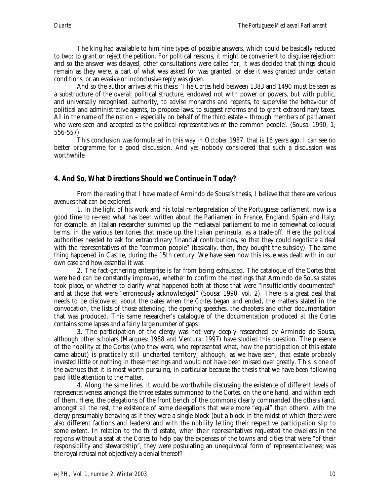The king had available to him nine types of possible answers, which could be basically reduced to two: to grant or reject the petition. For political reasons, it might be convenient to disguise rejection: and so the answer was delayed, other consultations were called for, it was decided that things should remain as they were, a part of what was asked for was granted, or else it was granted under certain conditions, or an evasive or inconclusive reply was given.

And so the author arrives at his *thesis*: 'The *Cortes* held between 1383 and 1490 must be seen as a substructure of the overall political structure, endowed not with power or powers, but with public, and universally recognised, authority, to advise monarchs and regents, to supervise the behaviour of political and administrative agents, to propose laws, to suggest reforms and to grant extraordinary taxes. All in the name of the nation – especially on behalf of the third estate – through members of parliament who were seen and accepted as the political representatives of the common people'. (Sousa: 1990, 1, 556-557).

This conclusion was formulated in this way in October 1987, that is 16 years ago. I can see no better programme for a good discussion. And yet nobody considered that such a discussion was worthwhile.

# **4. And So, What Directions Should we Continue in Today?**

From the reading that I have made of Armindo de Sousa's thesis, I believe that there are various avenues that can be explored.

1. In the light of his work and his total reinterpretation of the Portuguese parliament, now is a good time to re-read what has been written about the Parliament in France, England, Spain and Italy; for example, an Italian researcher summed up the mediaeval parliament to me in somewhat colloquial terms, in the various territories that made up the Italian peninsula, as a trade-off. Here the political authorities needed to ask for extraordinary financial contributions, so that they could negotiate a deal with the representatives of the "common people" (basically, then, they bought the subsidy). The same thing happened in Castile, during the 15th century. We have seen how this issue was dealt with in our own case and how essential it was.

2. The fact-gathering enterprise is far from being exhausted. The catalogue of the *Cortes* that were held can be constantly improved, whether to confirm the meetings that Armindo de Sousa states took place, or whether to clarify what happened both at those that were "insufficiently documented" and at those that were "erroneously acknowledged" (Sousa: 1990, vol. 2). There is a great deal that needs to be discovered about the dates when the *Cortes* began and ended, the matters stated in the convocation, the lists of those attending, the opening speeches, the chapters and other documentation that was produced. This same researcher's catalogue of the documentation produced at the *Cortes* contains some lapses and a fairly large number of gaps.

3. The participation of the clergy was not very deeply researched by Armindo de Sousa, although other scholars (Marques: 1988 and Ventura: 1997) have studied this question. The presence of the nobility at the *Cortes* (who they were, who represented what, how the participation of this estate came about) is practically still uncharted territory, although, as we have seen, that estate probably invested little or nothing in these meetings and would not have been missed over greatly. This is one of the avenues that it is most worth pursuing, in particular because the thesis that we have been following paid little attention to the matter.

4. Along the same lines, it would be worthwhile discussing the existence of different levels of representativeness amongst the three estates summoned to the *Cortes*, on the one hand, and within each of them. Here, the delegations of the front bench of the commons clearly commanded the others (and, amongst all the rest, the existence of some delegations that were more "equal" than others), with the clergy presumably behaving as if they were a single block (but a block in the midst of which there were also different factions and leaders) and with the nobility letting their respective participation slip to some extent. In relation to the third estate, when their representatives requested the dwellers in the regions without a seat at the *Cortes* to help pay the expenses of the towns and cities that were "of their responsibility and stewardship", they were postulating an unequivocal form of representativeness; was the royal refusal not objectively a denial thereof?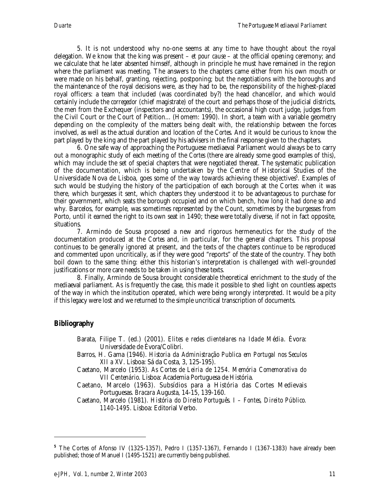5. It is not understood why no-one seems at any time to have thought about the royal delegation. We know that the king was present – *et pour cause* – at the official opening ceremony; and we calculate that he later absented himself, although in principle he must have remained in the region where the parliament was meeting. The answers to the chapters came either from his own mouth or were made on his behalf, granting, rejecting, postponing; but the negotiations with the boroughs and the maintenance of the royal decisions were, as they had to be, the responsibility of the highest-placed royal officers: a team that included (was coordinated by?) the head chancellor, and which would certainly include the *corregedor* (chief magistrate) of the court and perhaps those of the judicial districts, the men from the Exchequer (inspectors and accountants), the occasional high court judge, judges from the Civil Court or the Court of Petition... (Homem: 1990). In short, a team with a variable geometry depending on the complexity of the matters being dealt with, the relationship between the forces involved, as well as the actual duration and location of the *Cortes*. And it would be curious to know the part played by the king and the part played by his advisers in the final response given to the chapters.

6. One safe way of approaching the Portuguese mediaeval Parliament would always be to carry out a monographic study of each meeting of the *Cortes* (there are already some good examples of this), which may include the set of special chapters that were negotiated thereat. The systematic publication of the documentation, which is being undertaken by the Centre of Historical Studies of the Universidade Nova de Lisboa, goes some of the way towards achieving these objectives<sup>5</sup>. Examples of such would be studying the history of the participation of each borough at the *Cortes*: when it was there, which burgesses it sent, which chapters they understood it to be advantageous to purchase for their government, which seats the borough occupied and on which bench, how long it had done so and why. Barcelos, for example, was sometimes represented by the Count, sometimes by the burgesses from Porto, until it earned the right to its own seat in 1490; these were totally diverse, if not in fact opposite, situations.

7. Armindo de Sousa proposed a new and rigorous hermeneutics for the study of the documentation produced at the *Cortes* and, in particular, for the general chapters. This proposal continues to be generally ignored at present, and the texts of the chapters continue to be reproduced and commented upon uncritically, as if they were good "reports" of the state of the country. They both boil down to the same thing: either this historian's interpretation is challenged with well-grounded justifications or more care needs to be taken in using these texts.

8. Finally, Armindo de Sousa brought considerable theoretical enrichment to the study of the mediaeval parliament. As is frequently the case, this made it possible to shed light on countless aspects of the way in which the institution operated, which were being wrongly interpreted. It would be a pity if this legacy were lost and we returned to the simple uncritical transcription of documents.

# **Bibliography**

1

- Barata, Filipe T. (ed.) (2001). *Elites e redes clientelares na Idade Média*. Évora: Universidade de Évora/Colibri.
- Barros, H. Gama (1946). *Historia da Administração Publica em Portugal nos Seculos XII a XV*. Lisboa: Sá da Costa, 3, 125-195).
- Caetano, Marcelo (1953). *As Cortes de Leiria de 1254. Memória Comemorativa do VII Centenário*. Lisboa: Academia Portuguesa de História.
- Caetano, Marcelo (1963). Subsídios para a História das Cortes Medievais Portuguesas. *Bracara* Augusta, 14-15, 139-160.

Caetano, Marcelo (1981). *História do Direito Português. I – Fontes, Direito Público. 1140-1495*. Lisboa: Editorial Verbo.

**<sup>5</sup>** The Cortes of Afonso IV (1325-1357), Pedro I (1357-1367), Fernando I (1367-1383) have already been published; those of Manuel I (1495-1521) are currently being published.